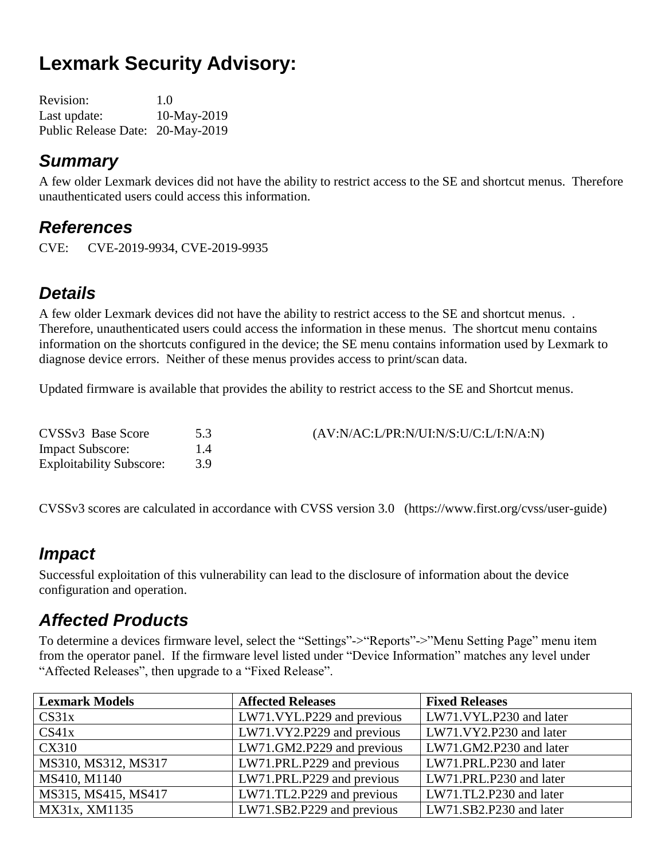# **Lexmark Security Advisory:**

| <b>Revision:</b>                 | 1.0         |
|----------------------------------|-------------|
| Last update:                     | 10-May-2019 |
| Public Release Date: 20-May-2019 |             |

#### *Summary*

A few older Lexmark devices did not have the ability to restrict access to the SE and shortcut menus. Therefore unauthenticated users could access this information.

#### *References*

CVE: CVE-2019-9934, CVE-2019-9935

#### *Details*

A few older Lexmark devices did not have the ability to restrict access to the SE and shortcut menus. . Therefore, unauthenticated users could access the information in these menus. The shortcut menu contains information on the shortcuts configured in the device; the SE menu contains information used by Lexmark to diagnose device errors. Neither of these menus provides access to print/scan data.

Updated firmware is available that provides the ability to restrict access to the SE and Shortcut menus.

| CVSS <sub>v3</sub> Base Score   |    | $(AV:N/AC: L/PR:N/UI:N/S: U/C: L/I:N/A:N)$ |
|---------------------------------|----|--------------------------------------------|
| <b>Impact Subscore:</b>         | 14 |                                            |
| <b>Exploitability Subscore:</b> |    |                                            |

CVSSv3 scores are calculated in accordance with CVSS version 3.0 (https://www.first.org/cvss/user-guide)

#### *Impact*

Successful exploitation of this vulnerability can lead to the disclosure of information about the device configuration and operation.

#### *Affected Products*

To determine a devices firmware level, select the "Settings"->"Reports"->"Menu Setting Page" menu item from the operator panel. If the firmware level listed under "Device Information" matches any level under "Affected Releases", then upgrade to a "Fixed Release".

| <b>Lexmark Models</b> | <b>Affected Releases</b>   | <b>Fixed Releases</b>   |
|-----------------------|----------------------------|-------------------------|
| CS31x                 | LW71.VYL.P229 and previous | LW71.VYL.P230 and later |
| CS41x                 | LW71.VY2.P229 and previous | LW71.VY2.P230 and later |
| CX310                 | LW71.GM2.P229 and previous | LW71.GM2.P230 and later |
| MS310, MS312, MS317   | LW71.PRL.P229 and previous | LW71.PRL.P230 and later |
| MS410, M1140          | LW71.PRL.P229 and previous | LW71.PRL.P230 and later |
| MS315, MS415, MS417   | LW71.TL2.P229 and previous | LW71.TL2.P230 and later |
| MX31x, XM1135         | LW71.SB2.P229 and previous | LW71.SB2.P230 and later |